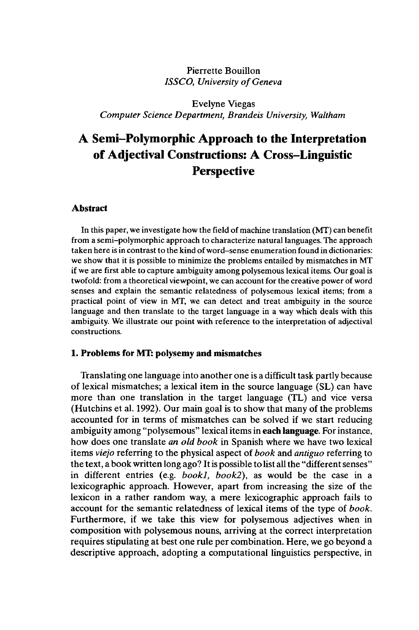# Pierrette Bouillon *ISSCO, University of Geneva*

Evelyne Viegas *Computer Science Department, Brandeis University, Waltham*

# **A Semi-Polymorphic Approach to the Interpretation of Adjectival Constructions: A Cross-Linguistic Perspective**

#### **Abstract**

In this paper, we investigate how the field of machine translation (MT) can benefit from a semi-polymorphic approach to characterize natural languages. The approach taken here is in contrast to the kind of word-sense enumeration found in dictionaries: we show that it is possible to minimize the problems entailed by mismatches in MT if we are first able to capture ambiguity among polysemous lexical items. Our goal is twofold: from a theoretical viewpoint, we can account for the creative power of word senses and explain the semantic relatedness of polysemous lexical items; from a practical point of view in MT, we can detect and treat ambiguity in the source language and then translate to the target language in a way which deals with this ambiguity. We illustrate our point with reference to the interpretation of adjectival constructions.

### **1. Problems for MT: polysemy and mismatches**

Translating one language into another one is a difficult task partly because of lexical mismatches; a lexical item in the source language (SL) can have more than one translation in the target language (TL) and vice versa (Hutchins et al. 1992). Our main goal is to show that many of the problems accounted for in terms of mismatches can be solved if we start reducing ambiguity among "polysemous" lexical items in **each language.** For instance, how does one translate *an old book* in Spanish where we have two lexical items *viejo* referring to the physical aspect of *book* and *antiguo* referring to the text, a book written long ago? It is possible to list all the "different senses" in different entries (e.g. *bookl, book!),* as would be the case in a lexicographic approach. However, apart from increasing the size of the lexicon in a rather random way, a mere lexicographic approach fails to account for the semantic relatedness of lexical items of the type of *book.* Furthermore, if we take this view for polysemous adjectives when in composition with polysemous nouns, arriving at the correct interpretation requires stipulating at best one rule per combination. Here, we go beyond a descriptive approach, adopting a computational linguistics perspective, in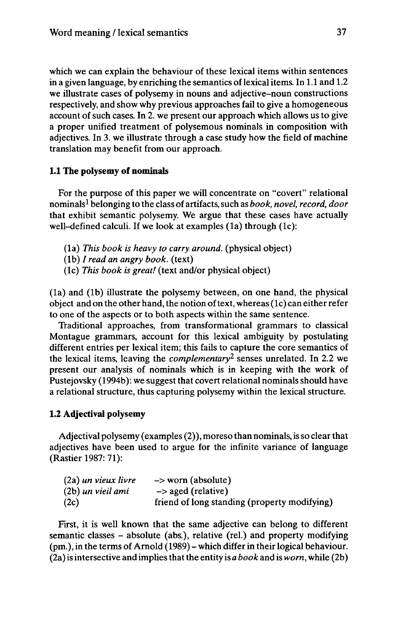which we can explain the behaviour of these lexical items within sentences in a given language, by enriching the semantics of lexical items. In  $1.1$  and  $1.2$ we illustrate cases of polysemy in nouns and adjective-noun constructions respectively, and show why previous approaches fail to give a homogeneous account of such cases. In 2. we present our approach which allows us to give a proper unified treatment of polysemous nominals in composition with adjectives. In 3. we illustrate through a case study how the field of machine translation may benefit from our approach.

### **1.1 The polysemy of nominals**

For the purpose of this paper we will concentrate on "covert" relational nominals<sup>1</sup> belonging to the class of artifacts,such as *book, novel, record, door* that exhibit semantic polysemy. We argue that these cases have actually well-defined calculi. If we look at examples (1a) through (1c):

- (la) *This book is heavy to carry around,* (physical object)
- (lb) / *read an angry book,* (text)
- (lc) *This book is great!* (text and/or physical object)

(la) and (lb) illustrate the polysemy between, on one hand, the physical object and on the other hand, the notion of text, whereas  $(1c)$  can either refer to one of the aspects or to both aspects within the same sentence.

Traditional approaches, from transformational grammars to classical Montague grammars, account for this lexical ambiguity by postulating different entries per lexical item; this fails to capture the core semantics of the lexical items, leaving the *complementary<sup>2</sup>* senses unrelated. In 2.2 we present our analysis of nominals which is in keeping with the work of Pustejovsky (1994b): we suggest that covert relational nominals should have a relational structure, thus capturing polysemy within the lexical structure.

### **1.2 Adjectival polysemy**

Adjectival polysemy (examples (2)), moreso than nominals, is so clear that adjectives have been used to argue for the infinite variance of language (Rastier 1987: 71):

| (2a) un vieux livre | $\rightarrow$ worn (absolute)                |
|---------------------|----------------------------------------------|
| (2b) un vieil ami   | $\rightarrow$ aged (relative)                |
| (2c)                | friend of long standing (property modifying) |

First, it is well known that the same adjective can belong to different semantic classes - absolute (abs.), relative (rel.) and property modifying (pm.), in the terms of Arnold (1989) -which differ in their logical behaviour. (2a) is intersective and impliesthatthe entity is *a book* and is *worn,* while (2b)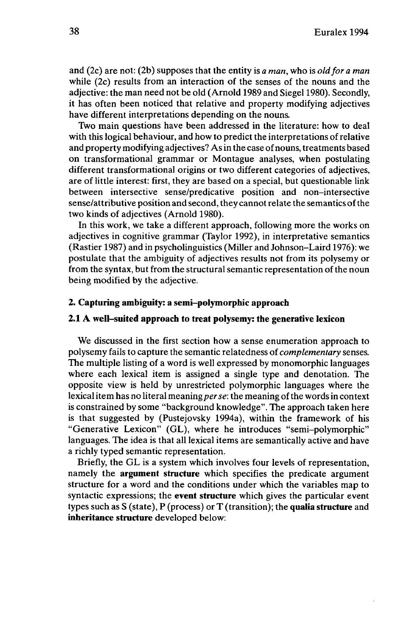and (2c) are not: (2b) supposes that the entity is *a man,* who is *oldfor a man* while (2c) results from an interaction of the senses of the nouns and the adjective: the man need not be old (Arnold 1989 and Siegel 1980). Secondly, it has often been noticed that relative and property modifying adjectives have different interpretations depending on the nouns.

Two main questions have been addressed in the literature: how to deal with this logical behaviour, and how to predict the interpretations of relative and property modifying adjectives? As in the case of nouns, treatments based on transformational grammar or Montague analyses, when postulating different transformational origins or two different categories of adjectives, are of little interest: first, they are based on a special, but questionable link between intersective sense/predicative position and non-intersective sense/attributive position and second, they cannot relate the semantics ofthe two kinds of adjectives (Arnold 1980).

In this work, we take a different approach, following more the works on adjectives in cognitive grammar (Taylor 1992), in interpretative semantics (Rastier 1987) and in psycholinguistics (Miller and Johnson-Laird 1976): we postulate that the ambiguity of adjectives results not from its polysemy or from the syntax, but from the structural semantic representation of the noun being modified by the adjective.

#### **2. Capturing ambiguity: a semi-polymorphic approach**

#### **2.1 A well-suited approach to treat polysemy: the generative lexicon**

We discussed in the first section how a sense enumeration approach to polysemy fails to capture the semantic relatedness of *complementary* senses. The multiple listing of a word is well expressed by monomorphic languages where each lexical item is assigned a single type and denotation. The opposite view is held by unrestricted polymorphic languages where the lexical item has no literal meaning per se: the meaning of the words in context is constrained by some "background knowledge". The approach taken here is that suggested by (Pustejovsky 1994a), within the framework of his "Generative Lexicon" (GL), where he introduces "semi-polymorphic" languages. The idea is that all lexical items are semantically active and have a richly typed semantic representation.

Briefly, the GL is a system which involves four levels of representation, namely the **argument structure** which specifies the predicate argument structure for a word and the conditions under which the variables map to syntactic expressions; the **event structure** which gives the particular event types such as S (state), P (process) or T (transition); the **qualia structure** and **inheritance structure** developed below: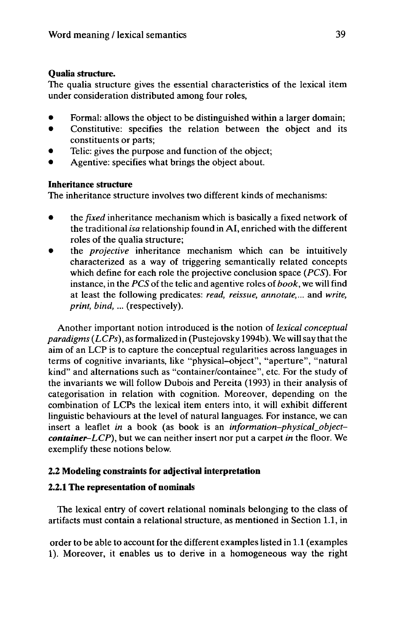### **Qualia structure.**

The qualia structure gives the essential characteristics of the lexical item under consideration distributed among four roles,

- Formal: allows the object to be distinguished within a larger domain;
- Constitutive: specifies the relation between the object and its constituents or parts;
- Telic: gives the purpose and function of the object;
- Agentive: specifies what brings the object about.

# **Inheritance structure**

The inheritance structure involves two different kinds of mechanisms:

- the *fixed* inheritance mechanism which is basically <sup>a</sup> fixed network of the traditional *isa* relationship found in AI, enriched with the different roles of the qualia structure;
- the *projective* inheritance mechanism which can be intuitively characterized as a way of triggering semantically related concepts which define for each role the projective conclusion space *(PCS).* For instance, in the *PCS* of the telic and agentive roles of *book*, we will find at least the following predicates: *read, reissue, annotate,...* and *write, print, bind, ...* (respectively).

Another important notion introduced is the notion of *lexical conceptual paradigms (LCPs),* as formalized in (Pustejovsky 1994b). We will say thatthe aim of an LCP is to capture the conceptual regularities across languages in terms of cognitive invariants, like "physical-object", "aperture", "natural kind" and alternations such as "container/containee", etc. For the study of the invariants we will follow Dubois and Pereita (1993) in their analysis of categorisation in relation with cognition. Moreover, depending on the combination of LCPs the lexical item enters into, it will exhibit different linguistic behaviours at the level of natural languages. For instance, we can insert a leaflet *in* a book (as book is an *information-physical\_objectcontainer-LCP),* but we can neither insert nor put a carpet *in* the floor. We exemplify these notions below.

# **2.2 Modeling constraints for adjectival interpretation**

# **2.2.1 The representation of nominals**

The lexical entry of covert relational nominals belonging to the class of artifacts must contain a relational structure, as mentioned in Section 1.1, in

order to be able to account for the different examples listed in 1.1 (examples 1). Moreover, it enables us to derive in a homogeneous way the right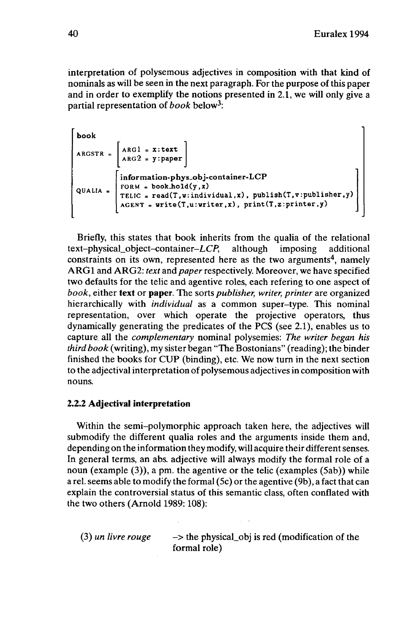interpretation of polysemous adjectives in composition with that kind of nominals as will be seen in the next paragraph. For the purpose of this paper and in order to exemplify the notions presented in 2.1, we will only give a partial representation of *book* below<sup>3</sup> :

```
book
QUAL1A
            ARGl = x:text
            ARG2 = y:paper
            information-phys_obj-container-LCP
            FORM = bookJiold(y ,x)
TELIC = read(T,w:individual,x), publish(T,v:publisher,y)
            AGENT = urite(T,u:uriter,x), print(T,z:printer,y)
```
Briefly, this states that book inherits from the qualia of the relational text-physical\_object-container-LCP, although imposing additional constraints on its own, represented here as the two arguments<sup>4</sup>, namely ARGl and ARG2: *text* and *paper*respectively. Moreover, we have specified two defaults for the telic and agentive roles, each refering to one aspect of *book,* either **text** or **paper.** The sorts *publisher, writer, printer* are organized hierarchically with *individual* as a common super-type. This nominal representation, over which operate the projective operators, thus dynamically generating the predicates of the PCS (see 2.1), enables us to capture, all the *complementary* nominal polysemies: *The writer began his third book* (writing), my sister began "The Bostonians" (reading); the binder finished the books for CUP (binding), etc. We now turn in the next section to the adjectival interpretation of polysemous adjectives in composition with nouns.

### **2.2.2 Adjectival interpretation**

Within the semi-polymorphic approach taken here, the adjectives will submodify the different qualia roles and the arguments inside them and, depending on the information they modify, will acquire their different senses. In general terms, an abs. adjective will always modify the formal role of a noun (example (3)), a pm. the agentive or the telic (examples (5ab)) while a rel. seems able to modify the formal (5c) or the agentive (9b), a fact that can explain the controversial status of this semantic class, often conflated with the two others (Arnold 1989: 108):

(3) *un livre rouge*  $\rightarrow$  the physical obj is red (modification of the formal role)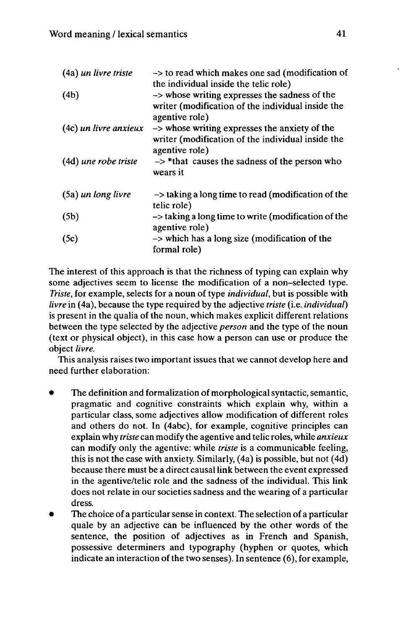| (4a) un livre triste  | -> to read which makes one sad (modification of<br>the individual inside the telic role)                             |
|-----------------------|----------------------------------------------------------------------------------------------------------------------|
| (4b)                  | -> whose writing expresses the sadness of the<br>writer (modification of the individual inside the<br>agentive role) |
| (4c) un livre anxieux | -> whose writing expresses the anxiety of the<br>writer (modification of the individual inside the<br>agentive role) |
| (4d) une robe triste  | $\rightarrow$ *that causes the sadness of the person who<br>wears it                                                 |
| (5a) un long livre    | $\rightarrow$ taking a long time to read (modification of the<br>telic role)                                         |
| (5b)                  | $\rightarrow$ taking a long time to write (modification of the<br>agentive role)                                     |
| (5c)                  | $\rightarrow$ which has a long size (modification of the<br>formal role)                                             |

The interest of this approach is that the richness of typing can explain why some adjectives seem to license the modification of a non-selected type. *Triste,* for example, selects for a noun of type *individual,* but is possible with *livre* in (4a), because the type required by the adjective *triste* (i.e. *individual)* is present in the qualia of the noun, which makes explicit different relations between the type selected by the adjective *person* and the type of the noun (text or physical object), in this case how a person can use or produce the object *livre.*

This analysis raises two important issues that we cannot develop here and need further elaboration:

- The definition and formalization of morphological syntactic, semantic, pragmatic and cognitive constraints which explain why, within a particular class, some adjectives allow modification of different roles and others do not. In (4abc), for example, cognitive principles can explain why *triste* can modify the agentive and telic roles, while *anxieux* can modify only the agentive: while *triste* is a communicable feeling, this is not the case with anxiety. Similarly, (4a) is possible, but not (4d) because there must be a direct causal link between the event expressed in the agentive/telic role and the sadness of the individual. This link does not relate in our societies sadness and the wearing of a particular dress.
- The choice of a particular sense in context. The selection of a particular quale by an adjective can be influenced by the other words of the sentence, the position of adjectives as in French and Spanish, possessive determiners and typography (hyphen or quotes, which indicate an interaction of the two senses). In sentence (6), for example,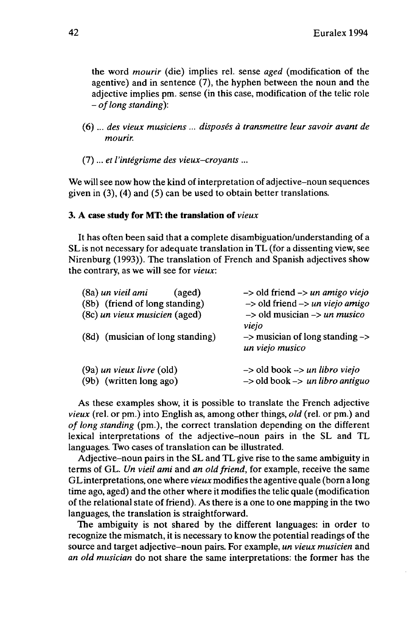the word *mourir* (die) implies rel. sense *aged* (modification of the agentive) and in sentence (7), the hyphen between the noun and the adjective implies pm. sense (in this case, modification of the telic role - *oflong standing):*

- (6) ... *des vieux musiciens ... disposés à transmettre leur savoir avant de mourir.*
- (7)... *et l'intégrisme des vieux-croyants ...*

We will see now how the kind of interpretation of adjective-noun sequences given in (3), (4) and (5) can be used to obtain better translations.

### **3. A case study for MT: the translation of** *vieux*

It has often been said that a complete disambiguation/understanding of a SL is not necessary for adequate translation in TL (for a dissenting view, see Nirenburg (1993)). The translation of French and Spanish adjectives show the contrary, as we will see for *vieux:*

| (8a) un vieil ami<br>(aged)      | $\rightarrow$ old friend $\rightarrow$ un amigo viejo |
|----------------------------------|-------------------------------------------------------|
| (8b) (friend of long standing)   | $\rightarrow$ old friend $\rightarrow$ un viejo amigo |
| (8c) un vieux musicien (aged)    | $\rightarrow$ old musician $\rightarrow$ un musico    |
|                                  | viejo                                                 |
| (8d) (musician of long standing) | $\rightarrow$ musician of long standing $\rightarrow$ |
|                                  | un viejo musico                                       |
| $(9a)$ un vieux livre $(old)$    | $\rightarrow$ old book $\rightarrow$ un libro viejo   |
| (9b) (written long ago)          | $\rightarrow$ old book $\rightarrow$ un libro antiguo |
|                                  |                                                       |

As these examples show, it is possible to translate the French adjective *vieux* (rel. or pm.) into English as, among other things, *old* (rel. or pm.) and *of long standing* (pm.), the correct translation depending on the different lexical interpretations of the adjective-noun pairs in the SL and TL languages. Two cases of translation can be illustrated.

Adjective-noun pairs in the SL and TL give rise to the same ambiguity in terms of GL. *Un vieil ami* and *an old friend,* for example, receive the same GLinterpretations, one where *vieux* modifiesthe agentive quale (born a long time ago, aged) and the other where it modifies the telic quale (modification of the relational state of friend). As there is a one to one mapping in the two languages, the translation is straightforward.

The ambiguity is not shared by the different languages: in order to recognize the mismatch, it is necessary to know the potential readings of the source and target adjective-noun pairs. For example, *un vieux musicien* and *an old musician* do not share the same interpretations: the former has the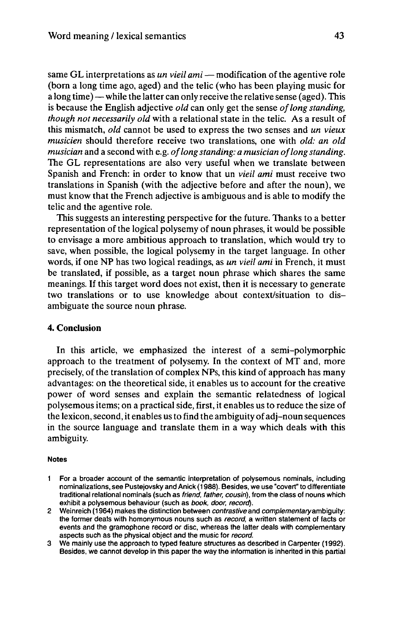same GL interpretations as *un vieil ami* – modification of the agentive role (born a long time ago, aged) and the telic (who has been playing music for a long time) — while the latter can only receive the relative sense (aged). This is because the English adjective *old* can only get the sense *oflong standing, though not necessarily old* with a relational state in the telic. As a result of this mismatch, *old* cannot be used to express the two senses and *un vieux musicien* should therefore receive two translations, one with *old: an old musician* and a second with e.g. *oflongstanding: a musician oflongstanding.* The GL representations are also very useful when we translate between Spanish and French: in order to know that un *vieil ami* must receive two translations in Spanish (with the adjective before and after the noun), we must know that the French adjective is ambiguous and is able to modify the telic and the agentive role.

This suggests an interesting perspective for the future. Thanks to a better representation of the logical polysemy of noun phrases, it would be possible to envisage a more ambitious approach to translation, which would try to save, when possible, the logical polysemy in the target language. In other words, if one NP has two logical readings, as *un vieil ami* in French, it must be translated, if possible, as a target noun phrase which shares the same meanings. If this target word does not exist, then it is necessary to generate two translations or to use knowledge about context/situation to disambiguate the source noun phrase.

#### **4. Conclusion**

In this article, we emphasized the interest of a semi-polymorphic approach to the treatment of polysemy. In the context of MT and, more precisely, of the translation of complex NPs, this kind of approach has many advantages: on the theoretical side, it enables us to account for the creative power of word senses and explain the semantic relatedness of logical polysemous items; on a practical side, first, it enables us to reduce the size of the lexicon, second, it enables us to find the ambiguity of adj-noun sequences in the source language and translate them in a way which deals with this ambiguity.

#### **Notes**

- <sup>1</sup> For a broader account of the semantic interpretation of polysemous nominals, including nominalizations, see Pustejovsky and Anick (1988). Besides, we use "covert" to differentiate traditional relational nominals (such as friend, father, cousin), from the class of nouns which exhibit a polysemous behaviour (such as book, door, record).
- 2 Weinreich (1964) makes the distinction between contrastive and complementary ambiquity: the former deals with homonymous nouns such as record, a written statement of facts or events and the gramophone record or disc, whereas the latter deals with complementary aspects such as the physical object and the music for record.
- 3 We mainly use the approach to typed feature structures as described in Carpenter (1992). Besides, we cannot develop in this paper the way the information is inherited in this partial